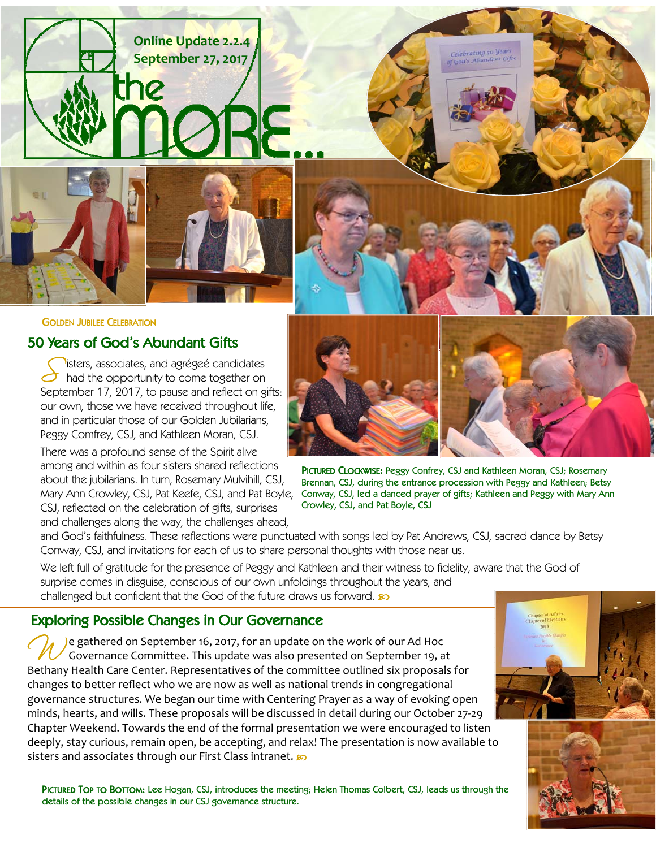



#### GOLDEN JUBILEE CELEBRATION

## 50 Years of God's Abundant Gifts

S isters, associates, and agrégeé candidates<br>
had the opportunity to come together on<br>
September 17, 2017, to naves and reflect on river September 17, 2017, to pause and reflect on gifts: our own, those we have received throughout life, and in particular those of our Golden Jubilarians, Peggy Comfrey, CSJ, and Kathleen Moran, CSJ.

There was a profound sense of the Spirit alive among and within as four sisters shared reflections about the jubilarians. In turn, Rosemary Mulvihill, CSJ, Mary Ann Crowley, CSJ, Pat Keefe, CSJ, and Pat Boyle, CSJ, reflected on the celebration of gifts, surprises and challenges along the way, the challenges ahead,



Celebrating 50 year  $2nd<sup>2</sup>$  Abu

PICTURED CLOCKWISE: Peggy Confrey, CSJ and Kathleen Moran, CSJ; Rosemary Brennan, CSJ, during the entrance procession with Peggy and Kathleen; Betsy Conway, CSJ, led a danced prayer of gifts; Kathleen and Peggy with Mary Ann Crowley, CSJ, and Pat Boyle, CSJ

and God's faithfulness. These reflections were punctuated with songs led by Pat Andrews, CSJ, sacred dance by Betsy Conway, CSJ, and invitations for each of us to share personal thoughts with those near us.

We left full of gratitude for the presence of Peggy and Kathleen and their witness to fidelity, aware that the God of surprise comes in disguise, conscious of our own unfoldings throughout the years, and challenged but confident that the God of the future draws us forward.

## Exploring Possible Changes in Our Governance

)e gathered on September 16, 2017, for an update on the work of our Ad Hoc Governance Committee. This update was also presented on September 19, at Bethany Health Care Center. Representatives of the committee outlined six proposals for changes to better reflect who we are now as well as national trends in congregational governance structures. We began our time with Centering Prayer as a way of evoking open minds, hearts, and wills. These proposals will be discussed in detail during our October 27‐29 Chapter Weekend. Towards the end of the formal presentation we were encouraged to listen deeply, stay curious, remain open, be accepting, and relax! The presentation is now available to sisters and associates through our First Class intranet.  $\wp$ 

PICTURED TOP TO BOTTOM: Lee Hogan, CSJ, introduces the meeting; Helen Thomas Colbert, CSJ, leads us through the details of the possible changes in our CSJ governance structure.